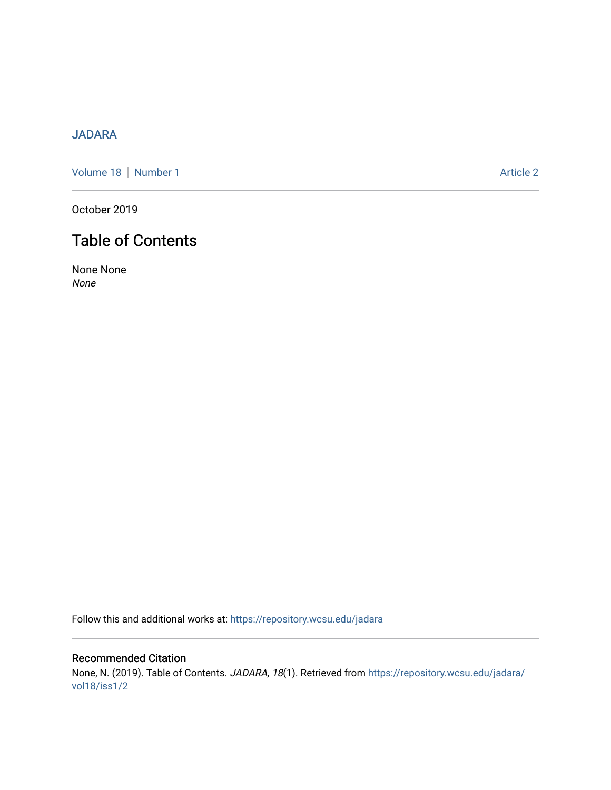## [JADARA](https://repository.wcsu.edu/jadara)

[Volume 18](https://repository.wcsu.edu/jadara/vol18) | [Number 1](https://repository.wcsu.edu/jadara/vol18/iss1) Article 2

October 2019

# Table of Contents

None None None

Follow this and additional works at: [https://repository.wcsu.edu/jadara](https://repository.wcsu.edu/jadara?utm_source=repository.wcsu.edu%2Fjadara%2Fvol18%2Fiss1%2F2&utm_medium=PDF&utm_campaign=PDFCoverPages)

Recommended Citation None, N. (2019). Table of Contents. JADARA, 18(1). Retrieved from [https://repository.wcsu.edu/jadara/](https://repository.wcsu.edu/jadara/vol18/iss1/2?utm_source=repository.wcsu.edu%2Fjadara%2Fvol18%2Fiss1%2F2&utm_medium=PDF&utm_campaign=PDFCoverPages) [vol18/iss1/2](https://repository.wcsu.edu/jadara/vol18/iss1/2?utm_source=repository.wcsu.edu%2Fjadara%2Fvol18%2Fiss1%2F2&utm_medium=PDF&utm_campaign=PDFCoverPages)